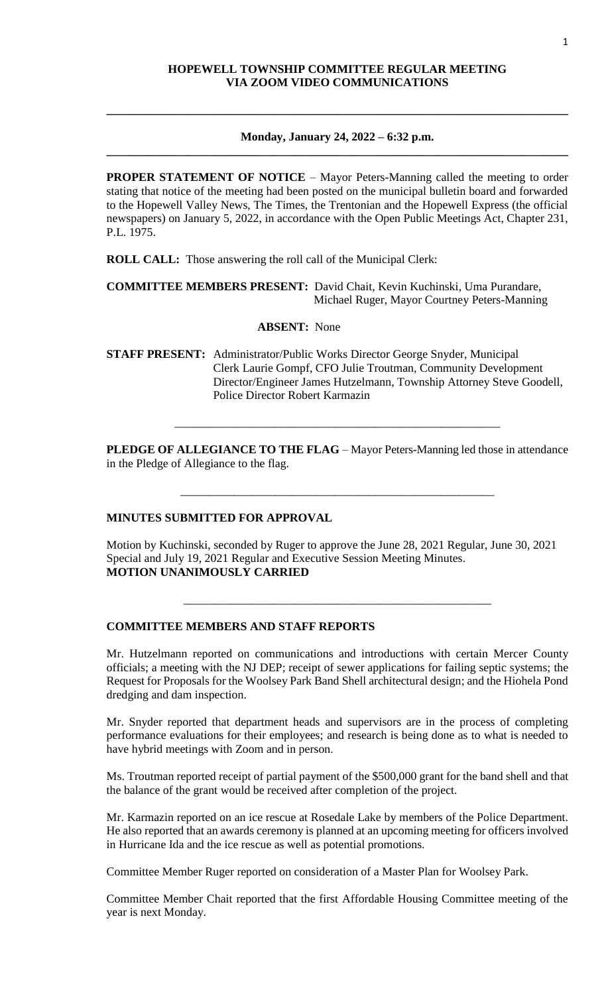## **HOPEWELL TOWNSHIP COMMITTEE REGULAR MEETING VIA ZOOM VIDEO COMMUNICATIONS**

#### **Monday, January 24, 2022 – 6:32 p.m. \_\_\_\_\_\_\_\_\_\_\_\_\_\_\_\_\_\_\_\_\_\_\_\_\_\_\_\_\_\_\_\_\_\_\_\_\_\_\_\_\_\_\_\_\_\_\_\_\_\_\_\_\_\_\_\_\_\_\_\_\_\_\_\_\_\_\_\_\_\_\_\_\_\_\_\_\_\_**

**\_\_\_\_\_\_\_\_\_\_\_\_\_\_\_\_\_\_\_\_\_\_\_\_\_\_\_\_\_\_\_\_\_\_\_\_\_\_\_\_\_\_\_\_\_\_\_\_\_\_\_\_\_\_\_\_\_\_\_\_\_\_\_\_\_\_\_\_\_\_\_\_\_\_\_\_\_\_**

**PROPER STATEMENT OF NOTICE** – Mayor Peters-Manning called the meeting to order stating that notice of the meeting had been posted on the municipal bulletin board and forwarded to the Hopewell Valley News, The Times, the Trentonian and the Hopewell Express (the official newspapers) on January 5, 2022, in accordance with the Open Public Meetings Act, Chapter 231, P.L. 1975.

**ROLL CALL:** Those answering the roll call of the Municipal Clerk:

**COMMITTEE MEMBERS PRESENT:** David Chait, Kevin Kuchinski, Uma Purandare, Michael Ruger, Mayor Courtney Peters-Manning

#### **ABSENT:** None

**STAFF PRESENT:** Administrator/Public Works Director George Snyder, Municipal Clerk Laurie Gompf, CFO Julie Troutman, Community Development Director/Engineer James Hutzelmann, Township Attorney Steve Goodell, Police Director Robert Karmazin

**PLEDGE OF ALLEGIANCE TO THE FLAG** – Mayor Peters-Manning led those in attendance in the Pledge of Allegiance to the flag.

\_\_\_\_\_\_\_\_\_\_\_\_\_\_\_\_\_\_\_\_\_\_\_\_\_\_\_\_\_\_\_\_\_\_\_\_\_\_\_\_\_\_\_\_\_\_\_\_\_\_\_\_\_

\_\_\_\_\_\_\_\_\_\_\_\_\_\_\_\_\_\_\_\_\_\_\_\_\_\_\_\_\_\_\_\_\_\_\_\_\_\_\_\_\_\_\_\_\_\_\_\_\_\_\_\_\_\_\_

#### **MINUTES SUBMITTED FOR APPROVAL**

Motion by Kuchinski, seconded by Ruger to approve the June 28, 2021 Regular, June 30, 2021 Special and July 19, 2021 Regular and Executive Session Meeting Minutes. **MOTION UNANIMOUSLY CARRIED**

\_\_\_\_\_\_\_\_\_\_\_\_\_\_\_\_\_\_\_\_\_\_\_\_\_\_\_\_\_\_\_\_\_\_\_\_\_\_\_\_\_\_\_\_\_\_\_\_\_\_\_\_

## **COMMITTEE MEMBERS AND STAFF REPORTS**

Mr. Hutzelmann reported on communications and introductions with certain Mercer County officials; a meeting with the NJ DEP; receipt of sewer applications for failing septic systems; the Request for Proposals for the Woolsey Park Band Shell architectural design; and the Hiohela Pond dredging and dam inspection.

Mr. Snyder reported that department heads and supervisors are in the process of completing performance evaluations for their employees; and research is being done as to what is needed to have hybrid meetings with Zoom and in person.

Ms. Troutman reported receipt of partial payment of the \$500,000 grant for the band shell and that the balance of the grant would be received after completion of the project.

Mr. Karmazin reported on an ice rescue at Rosedale Lake by members of the Police Department. He also reported that an awards ceremony is planned at an upcoming meeting for officers involved in Hurricane Ida and the ice rescue as well as potential promotions.

Committee Member Ruger reported on consideration of a Master Plan for Woolsey Park.

Committee Member Chait reported that the first Affordable Housing Committee meeting of the year is next Monday.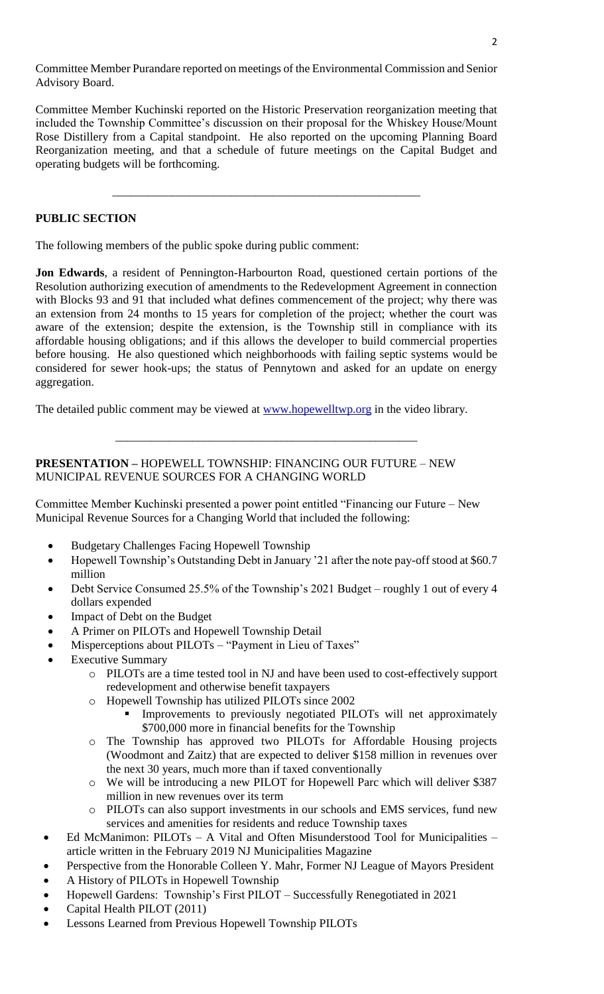Committee Member Purandare reported on meetings of the Environmental Commission and Senior Advisory Board.

Committee Member Kuchinski reported on the Historic Preservation reorganization meeting that included the Township Committee's discussion on their proposal for the Whiskey House/Mount Rose Distillery from a Capital standpoint. He also reported on the upcoming Planning Board Reorganization meeting, and that a schedule of future meetings on the Capital Budget and operating budgets will be forthcoming.

\_\_\_\_\_\_\_\_\_\_\_\_\_\_\_\_\_\_\_\_\_\_\_\_\_\_\_\_\_\_\_\_\_\_\_\_\_\_\_\_\_\_\_\_\_\_\_\_\_\_\_\_

## **PUBLIC SECTION**

The following members of the public spoke during public comment:

**Jon Edwards**, a resident of Pennington-Harbourton Road, questioned certain portions of the Resolution authorizing execution of amendments to the Redevelopment Agreement in connection with Blocks 93 and 91 that included what defines commencement of the project; why there was an extension from 24 months to 15 years for completion of the project; whether the court was aware of the extension; despite the extension, is the Township still in compliance with its affordable housing obligations; and if this allows the developer to build commercial properties before housing. He also questioned which neighborhoods with failing septic systems would be considered for sewer hook-ups; the status of Pennytown and asked for an update on energy aggregation.

The detailed public comment may be viewed at [www.hopewelltwp.org](http://www.hopewelltwp.org/) in the video library.

\_\_\_\_\_\_\_\_\_\_\_\_\_\_\_\_\_\_\_\_\_\_\_\_\_\_\_\_\_\_\_\_\_\_\_\_\_\_\_\_\_\_\_\_\_\_\_\_\_\_\_

## **PRESENTATION –** HOPEWELL TOWNSHIP: FINANCING OUR FUTURE – NEW MUNICIPAL REVENUE SOURCES FOR A CHANGING WORLD

Committee Member Kuchinski presented a power point entitled "Financing our Future – New Municipal Revenue Sources for a Changing World that included the following:

- Budgetary Challenges Facing Hopewell Township
- Hopewell Township's Outstanding Debt in January '21 after the note pay-off stood at \$60.7 million
- Debt Service Consumed 25.5% of the Township's 2021 Budget roughly 1 out of every 4 dollars expended
- Impact of Debt on the Budget
- A Primer on PILOTs and Hopewell Township Detail
- Misperceptions about PILOTs "Payment in Lieu of Taxes"
- Executive Summary
	- o PILOTs are a time tested tool in NJ and have been used to cost-effectively support redevelopment and otherwise benefit taxpayers
	- o Hopewell Township has utilized PILOTs since 2002
		- Improvements to previously negotiated PILOTs will net approximately \$700,000 more in financial benefits for the Township
	- o The Township has approved two PILOTs for Affordable Housing projects (Woodmont and Zaitz) that are expected to deliver \$158 million in revenues over the next 30 years, much more than if taxed conventionally
	- o We will be introducing a new PILOT for Hopewell Parc which will deliver \$387 million in new revenues over its term
	- o PILOTs can also support investments in our schools and EMS services, fund new services and amenities for residents and reduce Township taxes
- Ed McManimon: PILOTs A Vital and Often Misunderstood Tool for Municipalities article written in the February 2019 NJ Municipalities Magazine
- Perspective from the Honorable Colleen Y. Mahr, Former NJ League of Mayors President
- A History of PILOTs in Hopewell Township
- Hopewell Gardens: Township's First PILOT Successfully Renegotiated in 2021
- Capital Health PILOT (2011)
- Lessons Learned from Previous Hopewell Township PILOTs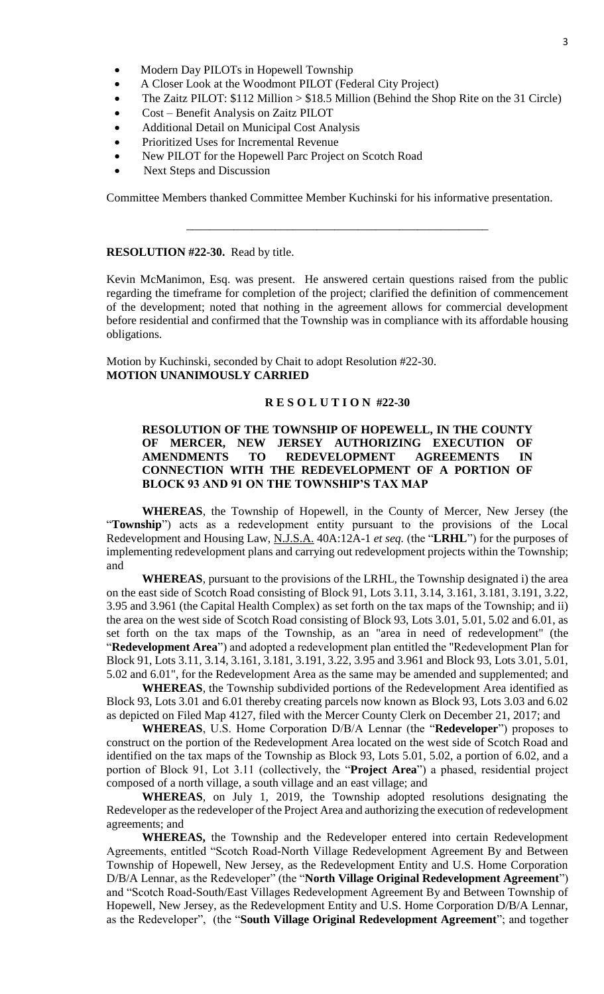- Modern Day PILOTs in Hopewell Township
- A Closer Look at the Woodmont PILOT (Federal City Project)
- The Zaitz PILOT: \$112 Million > \$18.5 Million (Behind the Shop Rite on the 31 Circle)
- Cost Benefit Analysis on Zaitz PILOT
- Additional Detail on Municipal Cost Analysis
- Prioritized Uses for Incremental Revenue
- New PILOT for the Hopewell Parc Project on Scotch Road
- Next Steps and Discussion

Committee Members thanked Committee Member Kuchinski for his informative presentation.

\_\_\_\_\_\_\_\_\_\_\_\_\_\_\_\_\_\_\_\_\_\_\_\_\_\_\_\_\_\_\_\_\_\_\_\_\_\_\_\_\_\_\_\_\_\_\_\_\_\_\_

#### **RESOLUTION #22-30.** Read by title.

Kevin McManimon, Esq. was present. He answered certain questions raised from the public regarding the timeframe for completion of the project; clarified the definition of commencement of the development; noted that nothing in the agreement allows for commercial development before residential and confirmed that the Township was in compliance with its affordable housing obligations.

Motion by Kuchinski, seconded by Chait to adopt Resolution #22-30. **MOTION UNANIMOUSLY CARRIED**

#### **R E S O L U T I O N #22-30**

## **RESOLUTION OF THE TOWNSHIP OF HOPEWELL, IN THE COUNTY OF MERCER, NEW JERSEY AUTHORIZING EXECUTION OF AMENDMENTS TO REDEVELOPMENT AGREEMENTS IN CONNECTION WITH THE REDEVELOPMENT OF A PORTION OF BLOCK 93 AND 91 ON THE TOWNSHIP'S TAX MAP**

**WHEREAS**, the Township of Hopewell, in the County of Mercer, New Jersey (the "**Township**") acts as a redevelopment entity pursuant to the provisions of the Local Redevelopment and Housing Law, N.J.S.A. 40A:12A-1 *et seq.* (the "**LRHL**") for the purposes of implementing redevelopment plans and carrying out redevelopment projects within the Township; and

**WHEREAS**, pursuant to the provisions of the LRHL, the Township designated i) the area on the east side of Scotch Road consisting of Block 91, Lots 3.11, 3.14, 3.161, 3.181, 3.191, 3.22, 3.95 and 3.961 (the Capital Health Complex) as set forth on the tax maps of the Township; and ii) the area on the west side of Scotch Road consisting of Block 93, Lots 3.01, 5.01, 5.02 and 6.01, as set forth on the tax maps of the Township, as an "area in need of redevelopment" (the "**Redevelopment Area**") and adopted a redevelopment plan entitled the "Redevelopment Plan for Block 91, Lots 3.11, 3.14, 3.161, 3.181, 3.191, 3.22, 3.95 and 3.961 and Block 93, Lots 3.01, 5.01, 5.02 and 6.01", for the Redevelopment Area as the same may be amended and supplemented; and

**WHEREAS**, the Township subdivided portions of the Redevelopment Area identified as Block 93, Lots 3.01 and 6.01 thereby creating parcels now known as Block 93, Lots 3.03 and 6.02 as depicted on Filed Map 4127, filed with the Mercer County Clerk on December 21, 2017; and

**WHEREAS**, U.S. Home Corporation D/B/A Lennar (the "**Redeveloper**") proposes to construct on the portion of the Redevelopment Area located on the west side of Scotch Road and identified on the tax maps of the Township as Block 93, Lots 5.01, 5.02, a portion of 6.02, and a portion of Block 91, Lot 3.11 (collectively, the "**Project Area**") a phased, residential project composed of a north village, a south village and an east village; and

**WHEREAS**, on July 1, 2019, the Township adopted resolutions designating the Redeveloper as the redeveloper of the Project Area and authorizing the execution of redevelopment agreements; and

**WHEREAS,** the Township and the Redeveloper entered into certain Redevelopment Agreements, entitled "Scotch Road-North Village Redevelopment Agreement By and Between Township of Hopewell, New Jersey, as the Redevelopment Entity and U.S. Home Corporation D/B/A Lennar, as the Redeveloper" (the "**North Village Original Redevelopment Agreement**") and "Scotch Road-South/East Villages Redevelopment Agreement By and Between Township of Hopewell, New Jersey, as the Redevelopment Entity and U.S. Home Corporation D/B/A Lennar, as the Redeveloper", (the "**South Village Original Redevelopment Agreement**"; and together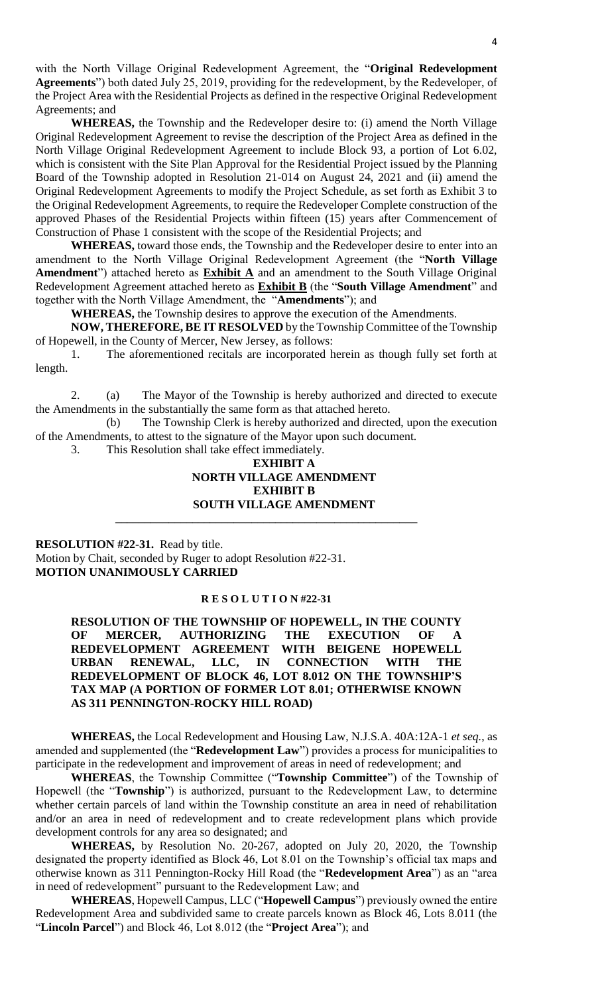with the North Village Original Redevelopment Agreement, the "**Original Redevelopment Agreements**") both dated July 25, 2019, providing for the redevelopment, by the Redeveloper, of the Project Area with the Residential Projects as defined in the respective Original Redevelopment Agreements; and

**WHEREAS,** the Township and the Redeveloper desire to: (i) amend the North Village Original Redevelopment Agreement to revise the description of the Project Area as defined in the North Village Original Redevelopment Agreement to include Block 93, a portion of Lot 6.02, which is consistent with the Site Plan Approval for the Residential Project issued by the Planning Board of the Township adopted in Resolution 21-014 on August 24, 2021 and (ii) amend the Original Redevelopment Agreements to modify the Project Schedule, as set forth as Exhibit 3 to the Original Redevelopment Agreements, to require the Redeveloper Complete construction of the approved Phases of the Residential Projects within fifteen (15) years after Commencement of Construction of Phase 1 consistent with the scope of the Residential Projects; and

**WHEREAS,** toward those ends, the Township and the Redeveloper desire to enter into an amendment to the North Village Original Redevelopment Agreement (the "**North Village**  Amendment") attached hereto as **Exhibit A** and an amendment to the South Village Original Redevelopment Agreement attached hereto as **Exhibit B** (the "**South Village Amendment**" and together with the North Village Amendment, the "**Amendments**"); and

**WHEREAS,** the Township desires to approve the execution of the Amendments.

**NOW, THEREFORE, BE IT RESOLVED** by the Township Committee of the Township of Hopewell, in the County of Mercer, New Jersey, as follows:

1. The aforementioned recitals are incorporated herein as though fully set forth at length.

2. (a) The Mayor of the Township is hereby authorized and directed to execute the Amendments in the substantially the same form as that attached hereto.

(b) The Township Clerk is hereby authorized and directed, upon the execution of the Amendments, to attest to the signature of the Mayor upon such document.

3. This Resolution shall take effect immediately.

#### **EXHIBIT A**

# **NORTH VILLAGE AMENDMENT EXHIBIT B**

## **SOUTH VILLAGE AMENDMENT**  \_\_\_\_\_\_\_\_\_\_\_\_\_\_\_\_\_\_\_\_\_\_\_\_\_\_\_\_\_\_\_\_\_\_\_\_\_\_\_\_\_\_\_\_\_\_\_\_\_\_\_

**RESOLUTION #22-31.** Read by title. Motion by Chait, seconded by Ruger to adopt Resolution #22-31. **MOTION UNANIMOUSLY CARRIED**

#### **R E S O L U T I O N #22-31**

**RESOLUTION OF THE TOWNSHIP OF HOPEWELL, IN THE COUNTY**  OF MERCER, AUTHORIZING THE EXECUTION OF **REDEVELOPMENT AGREEMENT WITH BEIGENE HOPEWELL URBAN RENEWAL, LLC, IN CONNECTION WITH THE REDEVELOPMENT OF BLOCK 46, LOT 8.012 ON THE TOWNSHIP'S TAX MAP (A PORTION OF FORMER LOT 8.01; OTHERWISE KNOWN AS 311 PENNINGTON-ROCKY HILL ROAD)**

**WHEREAS,** the Local Redevelopment and Housing Law, N.J.S.A. 40A:12A-1 *et seq.*, as amended and supplemented (the "**Redevelopment Law**") provides a process for municipalities to participate in the redevelopment and improvement of areas in need of redevelopment; and

**WHEREAS**, the Township Committee ("**Township Committee**") of the Township of Hopewell (the "**Township**") is authorized, pursuant to the Redevelopment Law, to determine whether certain parcels of land within the Township constitute an area in need of rehabilitation and/or an area in need of redevelopment and to create redevelopment plans which provide development controls for any area so designated; and

**WHEREAS,** by Resolution No. 20-267, adopted on July 20, 2020, the Township designated the property identified as Block 46, Lot 8.01 on the Township's official tax maps and otherwise known as 311 Pennington-Rocky Hill Road (the "**Redevelopment Area**") as an "area in need of redevelopment" pursuant to the Redevelopment Law; and

**WHEREAS**, Hopewell Campus, LLC ("**Hopewell Campus**") previously owned the entire Redevelopment Area and subdivided same to create parcels known as Block 46, Lots 8.011 (the "**Lincoln Parcel**") and Block 46, Lot 8.012 (the "**Project Area**"); and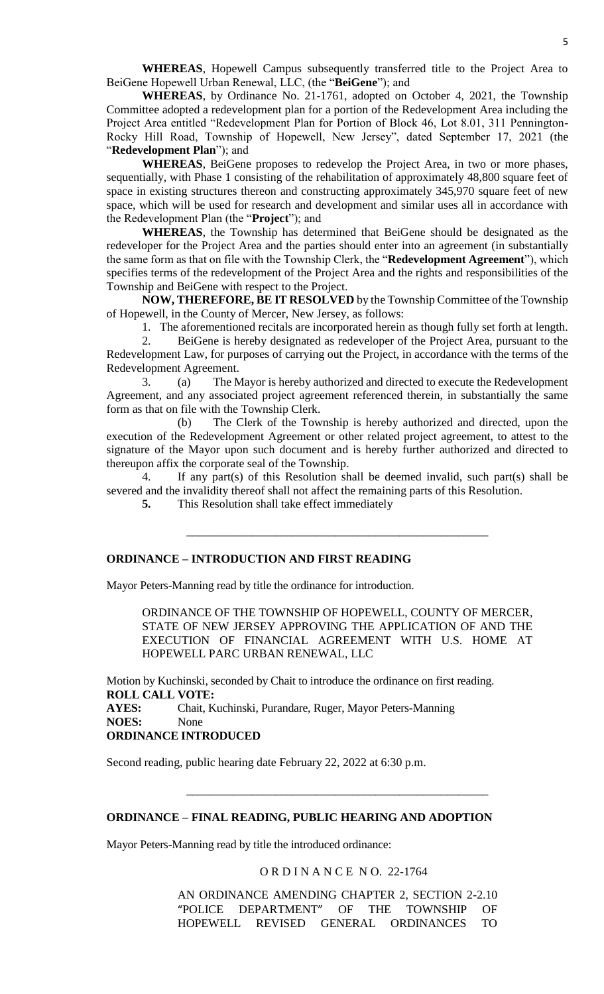**WHEREAS**, Hopewell Campus subsequently transferred title to the Project Area to BeiGene Hopewell Urban Renewal, LLC, (the "**BeiGene**"); and

**WHEREAS**, by Ordinance No. 21-1761, adopted on October 4, 2021, the Township Committee adopted a redevelopment plan for a portion of the Redevelopment Area including the Project Area entitled "Redevelopment Plan for Portion of Block 46, Lot 8.01, 311 Pennington-Rocky Hill Road, Township of Hopewell, New Jersey", dated September 17, 2021 (the "**Redevelopment Plan**"); and

**WHEREAS**, BeiGene proposes to redevelop the Project Area, in two or more phases, sequentially, with Phase 1 consisting of the rehabilitation of approximately 48,800 square feet of space in existing structures thereon and constructing approximately 345,970 square feet of new space, which will be used for research and development and similar uses all in accordance with the Redevelopment Plan (the "**Project**"); and

**WHEREAS**, the Township has determined that BeiGene should be designated as the redeveloper for the Project Area and the parties should enter into an agreement (in substantially the same form as that on file with the Township Clerk, the "**Redevelopment Agreement**"), which specifies terms of the redevelopment of the Project Area and the rights and responsibilities of the Township and BeiGene with respect to the Project.

**NOW, THEREFORE, BE IT RESOLVED** by the Township Committee of the Township of Hopewell, in the County of Mercer, New Jersey, as follows:

1. The aforementioned recitals are incorporated herein as though fully set forth at length.

2. BeiGene is hereby designated as redeveloper of the Project Area, pursuant to the Redevelopment Law, for purposes of carrying out the Project, in accordance with the terms of the Redevelopment Agreement.

3. (a) The Mayor is hereby authorized and directed to execute the Redevelopment Agreement, and any associated project agreement referenced therein, in substantially the same form as that on file with the Township Clerk.

(b) The Clerk of the Township is hereby authorized and directed, upon the execution of the Redevelopment Agreement or other related project agreement, to attest to the signature of the Mayor upon such document and is hereby further authorized and directed to thereupon affix the corporate seal of the Township.

4. If any part(s) of this Resolution shall be deemed invalid, such part(s) shall be severed and the invalidity thereof shall not affect the remaining parts of this Resolution.

\_\_\_\_\_\_\_\_\_\_\_\_\_\_\_\_\_\_\_\_\_\_\_\_\_\_\_\_\_\_\_\_\_\_\_\_\_\_\_\_\_\_\_\_\_\_\_\_\_\_\_

**5.** This Resolution shall take effect immediately

## **ORDINANCE – INTRODUCTION AND FIRST READING**

Mayor Peters-Manning read by title the ordinance for introduction.

ORDINANCE OF THE TOWNSHIP OF HOPEWELL, COUNTY OF MERCER, STATE OF NEW JERSEY APPROVING THE APPLICATION OF AND THE EXECUTION OF FINANCIAL AGREEMENT WITH U.S. HOME AT HOPEWELL PARC URBAN RENEWAL, LLC

Motion by Kuchinski, seconded by Chait to introduce the ordinance on first reading. **ROLL CALL VOTE: AYES:** Chait, Kuchinski, Purandare, Ruger, Mayor Peters-Manning **NOES:** None **ORDINANCE INTRODUCED**

Second reading, public hearing date February 22, 2022 at 6:30 p.m.

#### **ORDINANCE – FINAL READING, PUBLIC HEARING AND ADOPTION**

Mayor Peters-Manning read by title the introduced ordinance:

O R D I N A N C E N O. 22-1764

\_\_\_\_\_\_\_\_\_\_\_\_\_\_\_\_\_\_\_\_\_\_\_\_\_\_\_\_\_\_\_\_\_\_\_\_\_\_\_\_\_\_\_\_\_\_\_\_\_\_\_

AN ORDINANCE AMENDING CHAPTER 2, SECTION 2-2.10 "POLICE DEPARTMENT" OF THE TOWNSHIP OF HOPEWELL REVISED GENERAL ORDINANCES TO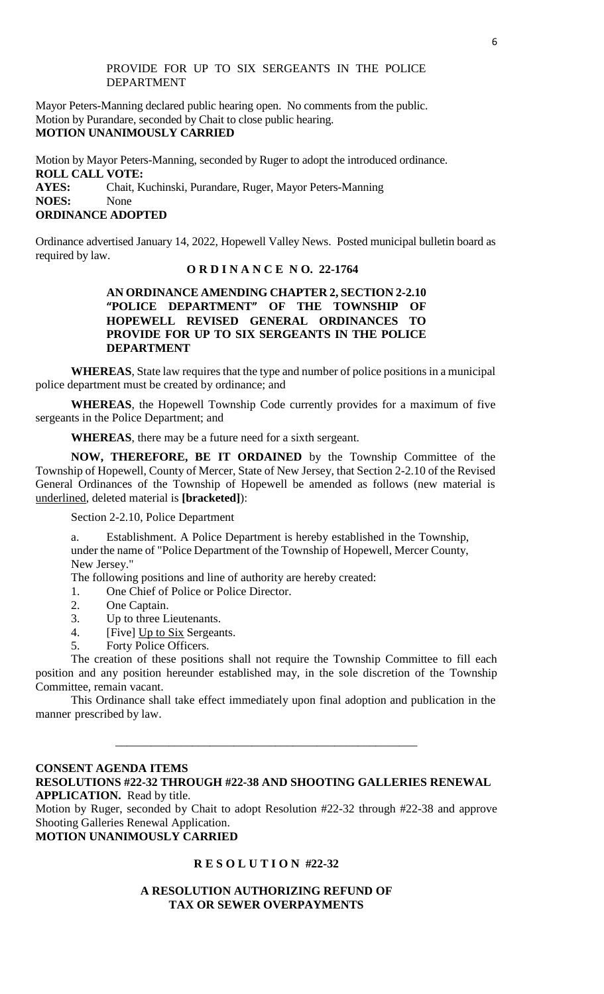#### PROVIDE FOR UP TO SIX SERGEANTS IN THE POLICE DEPARTMENT

Mayor Peters-Manning declared public hearing open. No comments from the public. Motion by Purandare, seconded by Chait to close public hearing. **MOTION UNANIMOUSLY CARRIED**

Motion by Mayor Peters-Manning, seconded by Ruger to adopt the introduced ordinance. **ROLL CALL VOTE: AYES:** Chait, Kuchinski, Purandare, Ruger, Mayor Peters-Manning **NOES:** None **ORDINANCE ADOPTED**

Ordinance advertised January 14, 2022, Hopewell Valley News. Posted municipal bulletin board as required by law.

## **O R D I N A N C E N O. 22-1764**

## **AN ORDINANCE AMENDING CHAPTER 2, SECTION 2-2.10 "POLICE DEPARTMENT" OF THE TOWNSHIP OF HOPEWELL REVISED GENERAL ORDINANCES TO PROVIDE FOR UP TO SIX SERGEANTS IN THE POLICE DEPARTMENT**

**WHEREAS**, State law requires that the type and number of police positions in a municipal police department must be created by ordinance; and

**WHEREAS**, the Hopewell Township Code currently provides for a maximum of five sergeants in the Police Department; and

**WHEREAS**, there may be a future need for a sixth sergeant.

**NOW, THEREFORE, BE IT ORDAINED** by the Township Committee of the Township of Hopewell, County of Mercer, State of New Jersey, that Section 2-2.10 of the Revised General Ordinances of the Township of Hopewell be amended as follows (new material is underlined, deleted material is **[bracketed]**):

Section 2-2.10, Police Department

a. Establishment. A Police Department is hereby established in the Township, under the name of "Police Department of the Township of Hopewell, Mercer County, New Jersey."

The following positions and line of authority are hereby created:

- 1. One Chief of Police or Police Director.
- 2. One Captain.
- 3. Up to three Lieutenants.
- 4.[Five] Up to Six Sergeants.
- 5. Forty Police Officers.

The creation of these positions shall not require the Township Committee to fill each position and any position hereunder established may, in the sole discretion of the Township Committee, remain vacant.

This Ordinance shall take effect immediately upon final adoption and publication in the manner prescribed by law.

\_\_\_\_\_\_\_\_\_\_\_\_\_\_\_\_\_\_\_\_\_\_\_\_\_\_\_\_\_\_\_\_\_\_\_\_\_\_\_\_\_\_\_\_\_\_\_\_\_\_\_

## **CONSENT AGENDA ITEMS RESOLUTIONS #22-32 THROUGH #22-38 AND SHOOTING GALLERIES RENEWAL APPLICATION.** Read by title. Motion by Ruger, seconded by Chait to adopt Resolution #22-32 through #22-38 and approve Shooting Galleries Renewal Application.

**MOTION UNANIMOUSLY CARRIED**

## **R E S O L U T I O N #22-32**

## **A RESOLUTION AUTHORIZING REFUND OF TAX OR SEWER OVERPAYMENTS**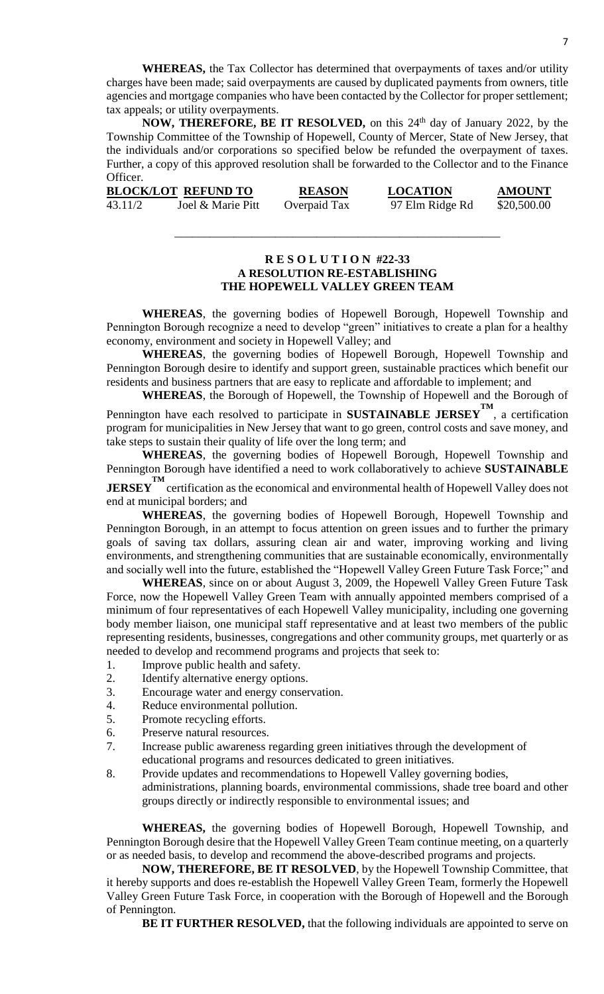**WHEREAS,** the Tax Collector has determined that overpayments of taxes and/or utility charges have been made; said overpayments are caused by duplicated payments from owners, title agencies and mortgage companies who have been contacted by the Collector for proper settlement; tax appeals; or utility overpayments.

**NOW, THEREFORE, BE IT RESOLVED,** on this 24<sup>th</sup> day of January 2022, by the Township Committee of the Township of Hopewell, County of Mercer, State of New Jersey, that the individuals and/or corporations so specified below be refunded the overpayment of taxes. Further, a copy of this approved resolution shall be forwarded to the Collector and to the Finance Officer.

|         | <b>BLOCK/LOT REFUND TO</b> | <b>REASON</b> | <b>LOCATION</b> | <b>AMOUNT</b> |
|---------|----------------------------|---------------|-----------------|---------------|
| 43.11/2 | Joel & Marie Pitt          | Overpaid Tax  | 97 Elm Ridge Rd | \$20,500.00   |

## **R E S O L U T I O N #22-33 A RESOLUTION RE-ESTABLISHING THE HOPEWELL VALLEY GREEN TEAM**

\_\_\_\_\_\_\_\_\_\_\_\_\_\_\_\_\_\_\_\_\_\_\_\_\_\_\_\_\_\_\_\_\_\_\_\_\_\_\_\_\_\_\_\_\_\_\_\_\_\_\_\_\_\_\_

**WHEREAS**, the governing bodies of Hopewell Borough, Hopewell Township and Pennington Borough recognize a need to develop "green" initiatives to create a plan for a healthy economy, environment and society in Hopewell Valley; and

**WHEREAS**, the governing bodies of Hopewell Borough, Hopewell Township and Pennington Borough desire to identify and support green, sustainable practices which benefit our residents and business partners that are easy to replicate and affordable to implement; and

**WHEREAS**, the Borough of Hopewell, the Township of Hopewell and the Borough of

Pennington have each resolved to participate in **SUSTAINABLE JERSEY**<sup>TM</sup>, a certification program for municipalities in New Jersey that want to go green, control costs and save money, and take steps to sustain their quality of life over the long term; and

**WHEREAS**, the governing bodies of Hopewell Borough, Hopewell Township and Pennington Borough have identified a need to work collaboratively to achieve **SUSTAINABLE** 

**JERSEY**<sup>TM</sup> certification as the economical and environmental health of Hopewell Valley does not end at municipal borders; and

**WHEREAS**, the governing bodies of Hopewell Borough, Hopewell Township and Pennington Borough, in an attempt to focus attention on green issues and to further the primary goals of saving tax dollars, assuring clean air and water, improving working and living environments, and strengthening communities that are sustainable economically, environmentally and socially well into the future, established the "Hopewell Valley Green Future Task Force;" and

**WHEREAS**, since on or about August 3, 2009, the Hopewell Valley Green Future Task Force, now the Hopewell Valley Green Team with annually appointed members comprised of a minimum of four representatives of each Hopewell Valley municipality, including one governing body member liaison, one municipal staff representative and at least two members of the public representing residents, businesses, congregations and other community groups, met quarterly or as needed to develop and recommend programs and projects that seek to:

- 1. Improve public health and safety.
- 2. Identify alternative energy options.
- 3. Encourage water and energy conservation.
- 4. Reduce environmental pollution.
- 5. Promote recycling efforts.
- 6. Preserve natural resources.
- 7. Increase public awareness regarding green initiatives through the development of educational programs and resources dedicated to green initiatives.
- 8. Provide updates and recommendations to Hopewell Valley governing bodies, administrations, planning boards, environmental commissions, shade tree board and other groups directly or indirectly responsible to environmental issues; and

**WHEREAS,** the governing bodies of Hopewell Borough, Hopewell Township, and Pennington Borough desire that the Hopewell Valley Green Team continue meeting, on a quarterly or as needed basis, to develop and recommend the above-described programs and projects.

**NOW, THEREFORE, BE IT RESOLVED**, by the Hopewell Township Committee, that it hereby supports and does re-establish the Hopewell Valley Green Team, formerly the Hopewell Valley Green Future Task Force, in cooperation with the Borough of Hopewell and the Borough of Pennington.

**BE IT FURTHER RESOLVED,** that the following individuals are appointed to serve on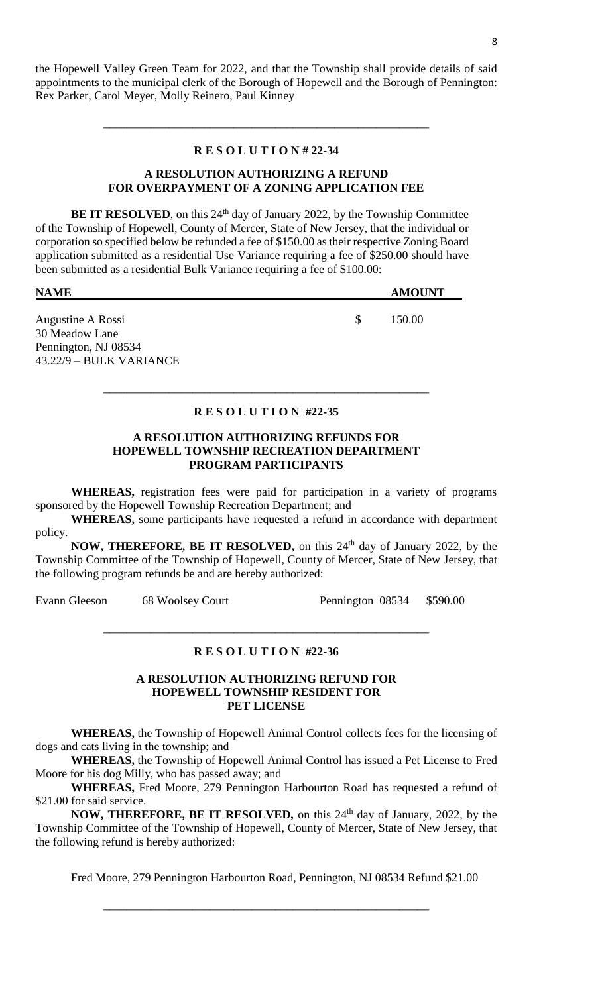the Hopewell Valley Green Team for 2022, and that the Township shall provide details of said appointments to the municipal clerk of the Borough of Hopewell and the Borough of Pennington: Rex Parker, Carol Meyer, Molly Reinero, Paul Kinney

#### **R E S O L U T I O N # 22-34**

\_\_\_\_\_\_\_\_\_\_\_\_\_\_\_\_\_\_\_\_\_\_\_\_\_\_\_\_\_\_\_\_\_\_\_\_\_\_\_\_\_\_\_\_\_\_\_\_\_\_\_\_\_\_\_

## **A RESOLUTION AUTHORIZING A REFUND FOR OVERPAYMENT OF A ZONING APPLICATION FEE**

**BE IT RESOLVED**, on this 24<sup>th</sup> day of January 2022, by the Township Committee of the Township of Hopewell, County of Mercer, State of New Jersey, that the individual or corporation so specified below be refunded a fee of \$150.00 as their respective Zoning Board application submitted as a residential Use Variance requiring a fee of \$250.00 should have been submitted as a residential Bulk Variance requiring a fee of \$100.00:

| <b>NAME</b>             |    | <b>AMOUNT</b> |
|-------------------------|----|---------------|
|                         |    |               |
| Augustine A Rossi       | S. | 150.00        |
| 30 Meadow Lane          |    |               |
| Pennington, NJ 08534    |    |               |
| 43.22/9 – BULK VARIANCE |    |               |

## **R E S O L U T I O N #22-35**

\_\_\_\_\_\_\_\_\_\_\_\_\_\_\_\_\_\_\_\_\_\_\_\_\_\_\_\_\_\_\_\_\_\_\_\_\_\_\_\_\_\_\_\_\_\_\_\_\_\_\_\_\_\_\_

#### **A RESOLUTION AUTHORIZING REFUNDS FOR HOPEWELL TOWNSHIP RECREATION DEPARTMENT PROGRAM PARTICIPANTS**

**WHEREAS,** registration fees were paid for participation in a variety of programs sponsored by the Hopewell Township Recreation Department; and

**WHEREAS,** some participants have requested a refund in accordance with department policy.

**NOW, THEREFORE, BE IT RESOLVED,** on this 24<sup>th</sup> day of January 2022, by the Township Committee of the Township of Hopewell, County of Mercer, State of New Jersey, that the following program refunds be and are hereby authorized:

Evann Gleeson 68 Woolsey Court Pennington 08534 \$590.00

#### **R E S O L U T I O N #22-36**

\_\_\_\_\_\_\_\_\_\_\_\_\_\_\_\_\_\_\_\_\_\_\_\_\_\_\_\_\_\_\_\_\_\_\_\_\_\_\_\_\_\_\_\_\_\_\_\_\_\_\_\_\_\_\_

#### **A RESOLUTION AUTHORIZING REFUND FOR HOPEWELL TOWNSHIP RESIDENT FOR PET LICENSE**

**WHEREAS,** the Township of Hopewell Animal Control collects fees for the licensing of dogs and cats living in the township; and

**WHEREAS,** the Township of Hopewell Animal Control has issued a Pet License to Fred Moore for his dog Milly, who has passed away; and

**WHEREAS,** Fred Moore, 279 Pennington Harbourton Road has requested a refund of \$21.00 for said service.

**NOW, THEREFORE, BE IT RESOLVED,** on this 24<sup>th</sup> day of January, 2022, by the Township Committee of the Township of Hopewell, County of Mercer, State of New Jersey, that the following refund is hereby authorized:

Fred Moore, 279 Pennington Harbourton Road, Pennington, NJ 08534 Refund \$21.00

\_\_\_\_\_\_\_\_\_\_\_\_\_\_\_\_\_\_\_\_\_\_\_\_\_\_\_\_\_\_\_\_\_\_\_\_\_\_\_\_\_\_\_\_\_\_\_\_\_\_\_\_\_\_\_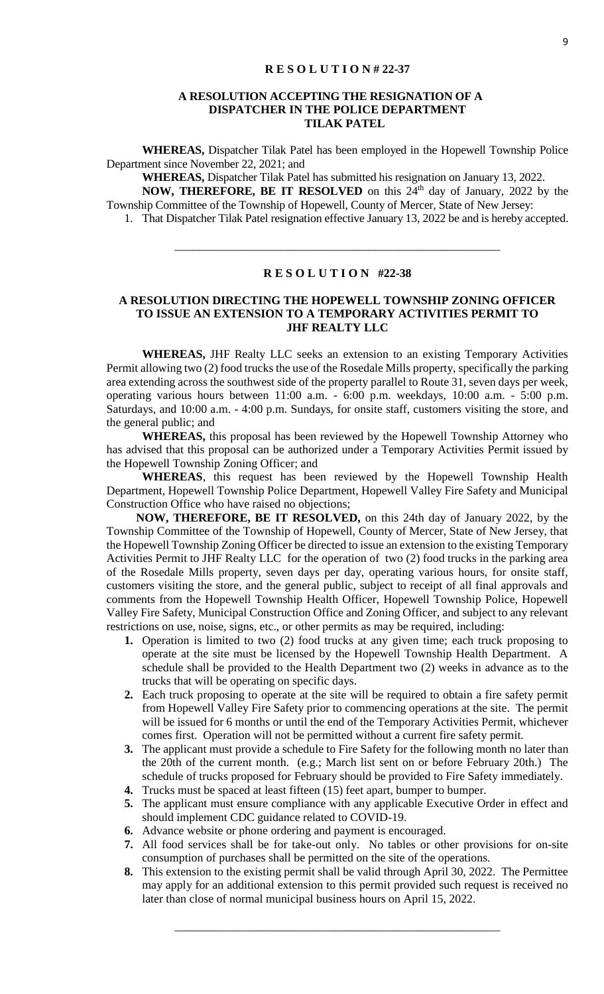#### **A RESOLUTION ACCEPTING THE RESIGNATION OF A DISPATCHER IN THE POLICE DEPARTMENT TILAK PATEL**

**WHEREAS,** Dispatcher Tilak Patel has been employed in the Hopewell Township Police Department since November 22, 2021; and

**WHEREAS,** Dispatcher Tilak Patel has submitted his resignation on January 13, 2022. **NOW, THEREFORE, BE IT RESOLVED** on this 24<sup>th</sup> day of January, 2022 by the Township Committee of the Township of Hopewell, County of Mercer, State of New Jersey:

1. That Dispatcher Tilak Patel resignation effective January 13, 2022 be and is hereby accepted.

## **R E S O L U T I O N #22-38**

\_\_\_\_\_\_\_\_\_\_\_\_\_\_\_\_\_\_\_\_\_\_\_\_\_\_\_\_\_\_\_\_\_\_\_\_\_\_\_\_\_\_\_\_\_\_\_\_\_\_\_\_\_\_\_

## **A RESOLUTION DIRECTING THE HOPEWELL TOWNSHIP ZONING OFFICER TO ISSUE AN EXTENSION TO A TEMPORARY ACTIVITIES PERMIT TO JHF REALTY LLC**

**WHEREAS,** JHF Realty LLC seeks an extension to an existing Temporary Activities Permit allowing two (2) food trucks the use of the Rosedale Mills property, specifically the parking area extending across the southwest side of the property parallel to Route 31, seven days per week, operating various hours between 11:00 a.m. - 6:00 p.m. weekdays, 10:00 a.m. - 5:00 p.m. Saturdays, and 10:00 a.m. - 4:00 p.m. Sundays, for onsite staff, customers visiting the store, and the general public; and

**WHEREAS,** this proposal has been reviewed by the Hopewell Township Attorney who has advised that this proposal can be authorized under a Temporary Activities Permit issued by the Hopewell Township Zoning Officer; and

**WHEREAS**, this request has been reviewed by the Hopewell Township Health Department, Hopewell Township Police Department, Hopewell Valley Fire Safety and Municipal Construction Office who have raised no objections;

 **NOW, THEREFORE, BE IT RESOLVED,** on this 24th day of January 2022, by the Township Committee of the Township of Hopewell, County of Mercer, State of New Jersey, that the Hopewell Township Zoning Officer be directed to issue an extension to the existing Temporary Activities Permit to JHF Realty LLC for the operation of two (2) food trucks in the parking area of the Rosedale Mills property, seven days per day, operating various hours, for onsite staff, customers visiting the store, and the general public, subject to receipt of all final approvals and comments from the Hopewell Township Health Officer, Hopewell Township Police, Hopewell Valley Fire Safety, Municipal Construction Office and Zoning Officer, and subject to any relevant restrictions on use, noise, signs, etc., or other permits as may be required, including:

- **1.** Operation is limited to two (2) food trucks at any given time; each truck proposing to operate at the site must be licensed by the Hopewell Township Health Department. A schedule shall be provided to the Health Department two (2) weeks in advance as to the trucks that will be operating on specific days.
- **2.** Each truck proposing to operate at the site will be required to obtain a fire safety permit from Hopewell Valley Fire Safety prior to commencing operations at the site. The permit will be issued for 6 months or until the end of the Temporary Activities Permit, whichever comes first. Operation will not be permitted without a current fire safety permit.
- **3.** The applicant must provide a schedule to Fire Safety for the following month no later than the 20th of the current month. (e.g.; March list sent on or before February 20th.) The schedule of trucks proposed for February should be provided to Fire Safety immediately.
- **4.** Trucks must be spaced at least fifteen (15) feet apart, bumper to bumper.
- **5.** The applicant must ensure compliance with any applicable Executive Order in effect and should implement CDC guidance related to COVID-19.
- **6.** Advance website or phone ordering and payment is encouraged.
- **7.** All food services shall be for take-out only. No tables or other provisions for on-site consumption of purchases shall be permitted on the site of the operations.
- **8.** This extension to the existing permit shall be valid through April 30, 2022. The Permittee may apply for an additional extension to this permit provided such request is received no later than close of normal municipal business hours on April 15, 2022.

\_\_\_\_\_\_\_\_\_\_\_\_\_\_\_\_\_\_\_\_\_\_\_\_\_\_\_\_\_\_\_\_\_\_\_\_\_\_\_\_\_\_\_\_\_\_\_\_\_\_\_\_\_\_\_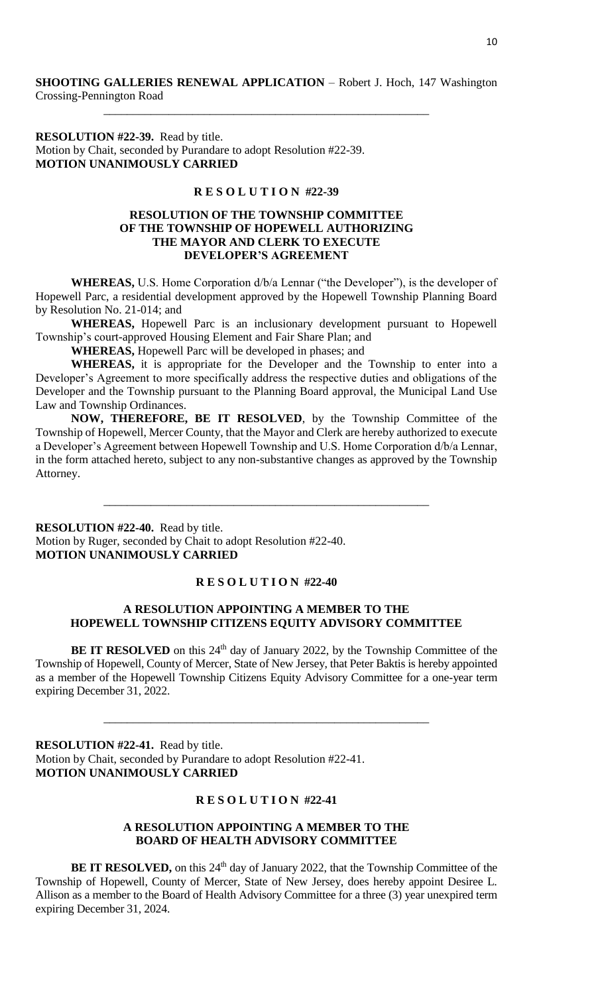\_\_\_\_\_\_\_\_\_\_\_\_\_\_\_\_\_\_\_\_\_\_\_\_\_\_\_\_\_\_\_\_\_\_\_\_\_\_\_\_\_\_\_\_\_\_\_\_\_\_\_\_\_\_\_

**RESOLUTION #22-39.** Read by title. Motion by Chait, seconded by Purandare to adopt Resolution #22-39. **MOTION UNANIMOUSLY CARRIED**

#### **R E S O L U T I O N #22-39**

## **RESOLUTION OF THE TOWNSHIP COMMITTEE OF THE TOWNSHIP OF HOPEWELL AUTHORIZING THE MAYOR AND CLERK TO EXECUTE DEVELOPER'S AGREEMENT**

**WHEREAS,** U.S. Home Corporation d/b/a Lennar ("the Developer"), is the developer of Hopewell Parc, a residential development approved by the Hopewell Township Planning Board by Resolution No. 21-014; and

**WHEREAS,** Hopewell Parc is an inclusionary development pursuant to Hopewell Township's court-approved Housing Element and Fair Share Plan; and

**WHEREAS,** Hopewell Parc will be developed in phases; and

**WHEREAS,** it is appropriate for the Developer and the Township to enter into a Developer's Agreement to more specifically address the respective duties and obligations of the Developer and the Township pursuant to the Planning Board approval, the Municipal Land Use Law and Township Ordinances.

**NOW, THEREFORE, BE IT RESOLVED**, by the Township Committee of the Township of Hopewell, Mercer County, that the Mayor and Clerk are hereby authorized to execute a Developer's Agreement between Hopewell Township and U.S. Home Corporation d/b/a Lennar, in the form attached hereto, subject to any non-substantive changes as approved by the Township Attorney.

\_\_\_\_\_\_\_\_\_\_\_\_\_\_\_\_\_\_\_\_\_\_\_\_\_\_\_\_\_\_\_\_\_\_\_\_\_\_\_\_\_\_\_\_\_\_\_\_\_\_\_\_\_\_\_

**RESOLUTION #22-40.** Read by title. Motion by Ruger, seconded by Chait to adopt Resolution #22-40. **MOTION UNANIMOUSLY CARRIED**

#### **R E S O L U T I O N #22-40**

### **A RESOLUTION APPOINTING A MEMBER TO THE HOPEWELL TOWNSHIP CITIZENS EQUITY ADVISORY COMMITTEE**

**BE IT RESOLVED** on this 24<sup>th</sup> day of January 2022, by the Township Committee of the Township of Hopewell, County of Mercer, State of New Jersey, that Peter Baktis is hereby appointed as a member of the Hopewell Township Citizens Equity Advisory Committee for a one-year term expiring December 31, 2022.

\_\_\_\_\_\_\_\_\_\_\_\_\_\_\_\_\_\_\_\_\_\_\_\_\_\_\_\_\_\_\_\_\_\_\_\_\_\_\_\_\_\_\_\_\_\_\_\_\_\_\_\_\_\_\_

**RESOLUTION #22-41.** Read by title. Motion by Chait, seconded by Purandare to adopt Resolution #22-41. **MOTION UNANIMOUSLY CARRIED**

#### **R E S O L U T I O N #22-41**

#### **A RESOLUTION APPOINTING A MEMBER TO THE BOARD OF HEALTH ADVISORY COMMITTEE**

**BE IT RESOLVED,** on this 24<sup>th</sup> day of January 2022, that the Township Committee of the Township of Hopewell, County of Mercer, State of New Jersey, does hereby appoint Desiree L. Allison as a member to the Board of Health Advisory Committee for a three (3) year unexpired term expiring December 31, 2024.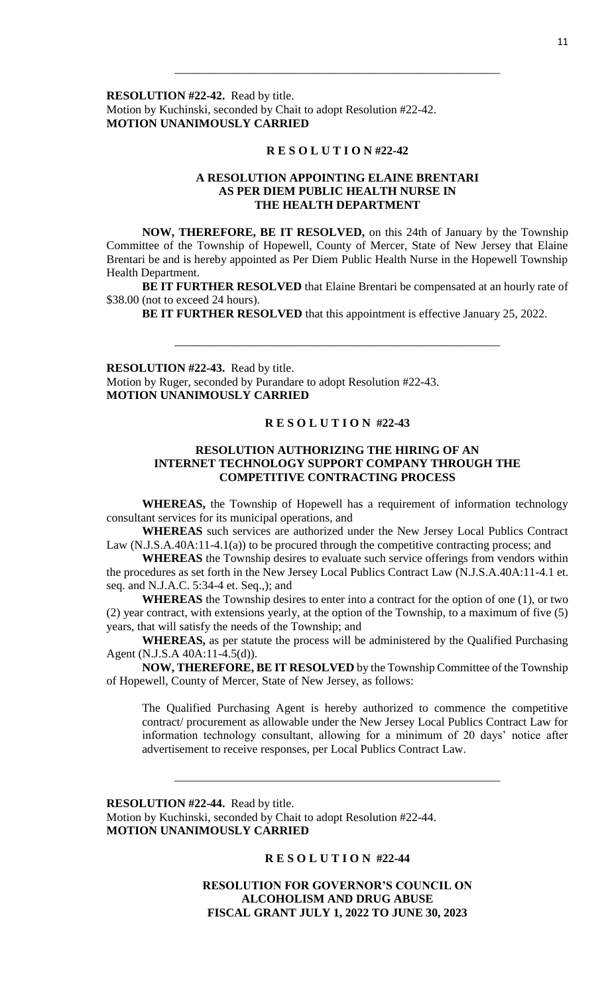**RESOLUTION #22-42.** Read by title. Motion by Kuchinski, seconded by Chait to adopt Resolution #22-42. **MOTION UNANIMOUSLY CARRIED**

#### **R E S O L U T I O N #22-42**

\_\_\_\_\_\_\_\_\_\_\_\_\_\_\_\_\_\_\_\_\_\_\_\_\_\_\_\_\_\_\_\_\_\_\_\_\_\_\_\_\_\_\_\_\_\_\_\_\_\_\_\_\_\_\_

## **A RESOLUTION APPOINTING ELAINE BRENTARI AS PER DIEM PUBLIC HEALTH NURSE IN THE HEALTH DEPARTMENT**

**NOW, THEREFORE, BE IT RESOLVED,** on this 24th of January by the Township Committee of the Township of Hopewell, County of Mercer, State of New Jersey that Elaine Brentari be and is hereby appointed as Per Diem Public Health Nurse in the Hopewell Township Health Department.

**BE IT FURTHER RESOLVED** that Elaine Brentari be compensated at an hourly rate of \$38.00 (not to exceed 24 hours).

\_\_\_\_\_\_\_\_\_\_\_\_\_\_\_\_\_\_\_\_\_\_\_\_\_\_\_\_\_\_\_\_\_\_\_\_\_\_\_\_\_\_\_\_\_\_\_\_\_\_\_\_\_\_\_

**BE IT FURTHER RESOLVED** that this appointment is effective January 25, 2022.

**RESOLUTION #22-43.** Read by title. Motion by Ruger, seconded by Purandare to adopt Resolution #22-43. **MOTION UNANIMOUSLY CARRIED**

# **R E S O L U T I O N #22-43**

## **RESOLUTION AUTHORIZING THE HIRING OF AN INTERNET TECHNOLOGY SUPPORT COMPANY THROUGH THE COMPETITIVE CONTRACTING PROCESS**

**WHEREAS,** the Township of Hopewell has a requirement of information technology consultant services for its municipal operations, and

**WHEREAS** such services are authorized under the New Jersey Local Publics Contract Law (N.J.S.A.40A:11-4.1(a)) to be procured through the competitive contracting process; and

**WHEREAS** the Township desires to evaluate such service offerings from vendors within the procedures as set forth in the New Jersey Local Publics Contract Law (N.J.S.A.40A:11-4.1 et. seq. and N.J.A.C. 5:34-4 et. Seq.,); and

**WHEREAS** the Township desires to enter into a contract for the option of one (1), or two (2) year contract, with extensions yearly, at the option of the Township, to a maximum of five (5) years, that will satisfy the needs of the Township; and

**WHEREAS,** as per statute the process will be administered by the Qualified Purchasing Agent (N.J.S.A 40A:11-4.5(d)).

**NOW, THEREFORE, BE IT RESOLVED** by the Township Committee of the Township of Hopewell, County of Mercer, State of New Jersey, as follows:

The Qualified Purchasing Agent is hereby authorized to commence the competitive contract/ procurement as allowable under the New Jersey Local Publics Contract Law for information technology consultant, allowing for a minimum of 20 days' notice after advertisement to receive responses, per Local Publics Contract Law.

**RESOLUTION #22-44.** Read by title.

Motion by Kuchinski, seconded by Chait to adopt Resolution #22-44. **MOTION UNANIMOUSLY CARRIED**

## **R E S O L U T I O N #22-44**

\_\_\_\_\_\_\_\_\_\_\_\_\_\_\_\_\_\_\_\_\_\_\_\_\_\_\_\_\_\_\_\_\_\_\_\_\_\_\_\_\_\_\_\_\_\_\_\_\_\_\_\_\_\_\_

**RESOLUTION FOR GOVERNOR'S COUNCIL ON ALCOHOLISM AND DRUG ABUSE FISCAL GRANT JULY 1, 2022 TO JUNE 30, 2023**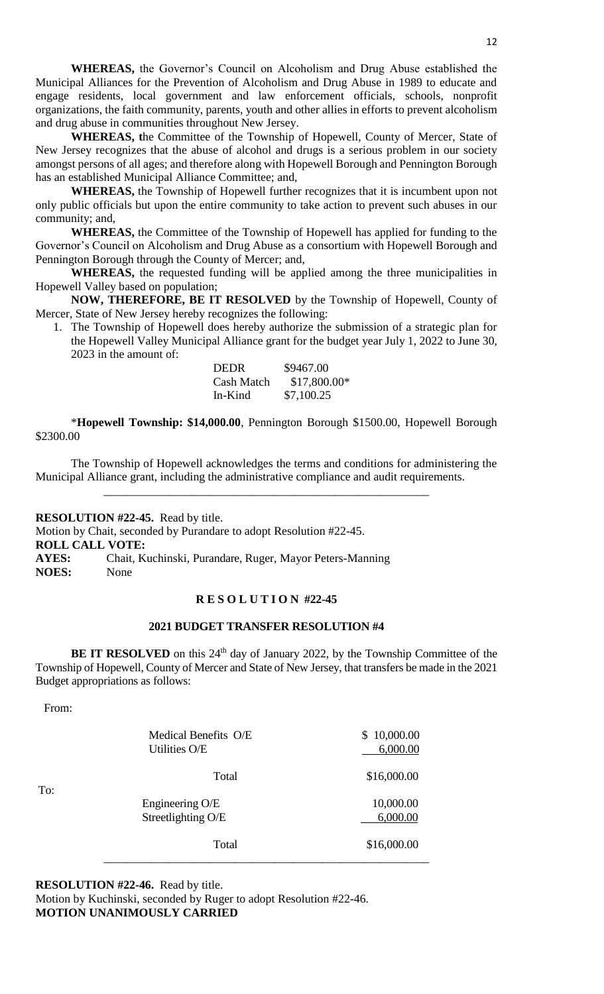**WHEREAS,** the Governor's Council on Alcoholism and Drug Abuse established the Municipal Alliances for the Prevention of Alcoholism and Drug Abuse in 1989 to educate and engage residents, local government and law enforcement officials, schools, nonprofit organizations, the faith community, parents, youth and other allies in efforts to prevent alcoholism and drug abuse in communities throughout New Jersey.

**WHEREAS, t**he Committee of the Township of Hopewell, County of Mercer, State of New Jersey recognizes that the abuse of alcohol and drugs is a serious problem in our society amongst persons of all ages; and therefore along with Hopewell Borough and Pennington Borough has an established Municipal Alliance Committee; and,

**WHEREAS,** the Township of Hopewell further recognizes that it is incumbent upon not only public officials but upon the entire community to take action to prevent such abuses in our community; and,

**WHEREAS,** the Committee of the Township of Hopewell has applied for funding to the Governor's Council on Alcoholism and Drug Abuse as a consortium with Hopewell Borough and Pennington Borough through the County of Mercer; and,

**WHEREAS,** the requested funding will be applied among the three municipalities in Hopewell Valley based on population;

**NOW, THEREFORE, BE IT RESOLVED** by the Township of Hopewell, County of Mercer, State of New Jersey hereby recognizes the following:

1. The Township of Hopewell does hereby authorize the submission of a strategic plan for the Hopewell Valley Municipal Alliance grant for the budget year July 1, 2022 to June 30, 2023 in the amount of:

| <b>DEDR</b> | \$9467.00     |
|-------------|---------------|
| Cash Match  | $$17,800.00*$ |
| In-Kind     | \$7,100.25    |

\***Hopewell Township: \$14,000.00**, Pennington Borough \$1500.00, Hopewell Borough \$2300.00

The Township of Hopewell acknowledges the terms and conditions for administering the Municipal Alliance grant, including the administrative compliance and audit requirements.

\_\_\_\_\_\_\_\_\_\_\_\_\_\_\_\_\_\_\_\_\_\_\_\_\_\_\_\_\_\_\_\_\_\_\_\_\_\_\_\_\_\_\_\_\_\_\_\_\_\_\_\_\_\_\_

**RESOLUTION #22-45.** Read by title. Motion by Chait, seconded by Purandare to adopt Resolution #22-45. **ROLL CALL VOTE: AYES:** Chait, Kuchinski, Purandare, Ruger, Mayor Peters-Manning **NOES:** None

#### **R E S O L U T I O N #22-45**

#### **2021 BUDGET TRANSFER RESOLUTION #4**

**BE IT RESOLVED** on this 24<sup>th</sup> day of January 2022, by the Township Committee of the Township of Hopewell, County of Mercer and State of New Jersey, that transfers be made in the 2021 Budget appropriations as follows:

From:

| To: | Medical Benefits O/E<br>Utilities O/E | 10,000.00<br>\$<br>6,000.00 |
|-----|---------------------------------------|-----------------------------|
|     | Total                                 | \$16,000.00                 |
|     | Engineering O/E<br>Streetlighting O/E | 10,000.00<br>6,000.00       |
|     | Total                                 | \$16,000.00                 |

**RESOLUTION #22-46.** Read by title.

Motion by Kuchinski, seconded by Ruger to adopt Resolution #22-46. **MOTION UNANIMOUSLY CARRIED**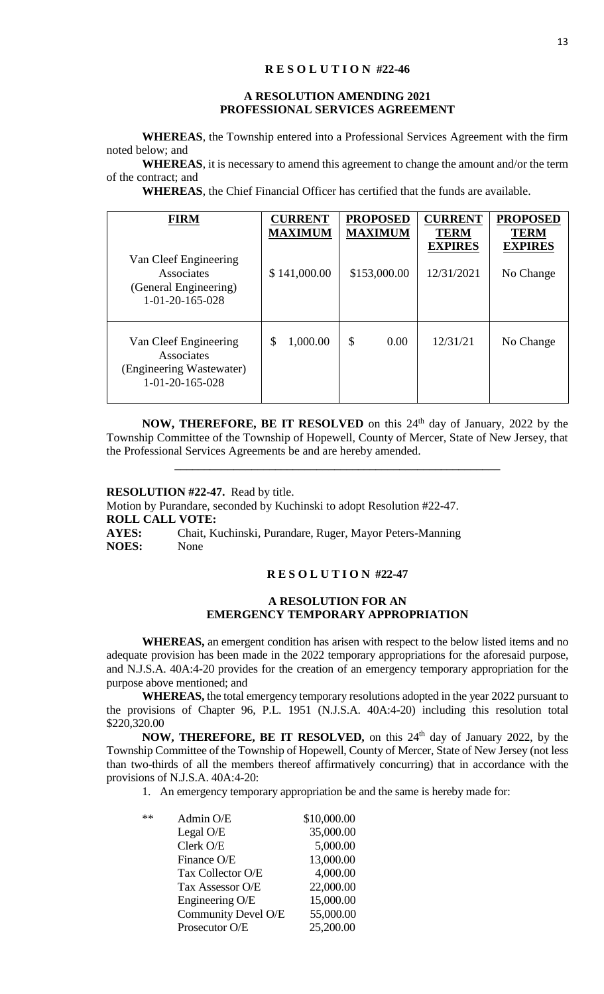#### **R E S O L U T I O N #22-46**

#### **A RESOLUTION AMENDING 2021 PROFESSIONAL SERVICES AGREEMENT**

**WHEREAS**, the Township entered into a Professional Services Agreement with the firm noted below; and

**WHEREAS**, it is necessary to amend this agreement to change the amount and/or the term of the contract; and

**WHEREAS**, the Chief Financial Officer has certified that the funds are available.

| <b>FIRM</b><br>Van Cleef Engineering<br>Associates<br>(General Engineering)<br>$1 - 01 - 20 - 165 - 028$ | <b>CURRENT</b><br><b>MAXIMUM</b><br>\$141,000.00 | <b>PROPOSED</b><br><b>MAXIMUM</b><br>\$153,000.00 | <b>CURRENT</b><br><b>TERM</b><br><b>EXPIRES</b><br>12/31/2021 | <b>PROPOSED</b><br><b>TERM</b><br><b>EXPIRES</b><br>No Change |
|----------------------------------------------------------------------------------------------------------|--------------------------------------------------|---------------------------------------------------|---------------------------------------------------------------|---------------------------------------------------------------|
| Van Cleef Engineering<br>Associates<br>(Engineering Wastewater)<br>$1 - 01 - 20 - 165 - 028$             | 1,000.00<br>\$                                   | \$<br>0.00                                        | 12/31/21                                                      | No Change                                                     |

**NOW, THEREFORE, BE IT RESOLVED** on this 24<sup>th</sup> day of January, 2022 by the Township Committee of the Township of Hopewell, County of Mercer, State of New Jersey, that the Professional Services Agreements be and are hereby amended.

\_\_\_\_\_\_\_\_\_\_\_\_\_\_\_\_\_\_\_\_\_\_\_\_\_\_\_\_\_\_\_\_\_\_\_\_\_\_\_\_\_\_\_\_\_\_\_\_\_\_\_\_\_\_\_

**RESOLUTION #22-47.** Read by title. Motion by Purandare, seconded by Kuchinski to adopt Resolution #22-47. **ROLL CALL VOTE: AYES:** Chait, Kuchinski, Purandare, Ruger, Mayor Peters-Manning **NOES:** None

#### **R E S O L U T I O N #22-47**

## **A RESOLUTION FOR AN EMERGENCY TEMPORARY APPROPRIATION**

**WHEREAS,** an emergent condition has arisen with respect to the below listed items and no adequate provision has been made in the 2022 temporary appropriations for the aforesaid purpose, and N.J.S.A. 40A:4-20 provides for the creation of an emergency temporary appropriation for the purpose above mentioned; and

**WHEREAS,** the total emergency temporary resolutions adopted in the year 2022 pursuant to the provisions of Chapter 96, P.L. 1951 (N.J.S.A. 40A:4-20) including this resolution total \$220,320.00

**NOW, THEREFORE, BE IT RESOLVED,** on this 24<sup>th</sup> day of January 2022, by the Township Committee of the Township of Hopewell, County of Mercer, State of New Jersey (not less than two-thirds of all the members thereof affirmatively concurring) that in accordance with the provisions of N.J.S.A. 40A:4-20:

1. An emergency temporary appropriation be and the same is hereby made for:

| ** | Admin O/E           | \$10,000.00 |
|----|---------------------|-------------|
|    | Legal O/E           | 35,000.00   |
|    | Clerk O/E           | 5,000.00    |
|    | Finance O/E         | 13,000.00   |
|    | Tax Collector O/E   | 4,000.00    |
|    | Tax Assessor O/E    | 22,000.00   |
|    | Engineering O/E     | 15,000.00   |
|    | Community Devel O/E | 55,000.00   |
|    | Prosecutor O/E      | 25,200.00   |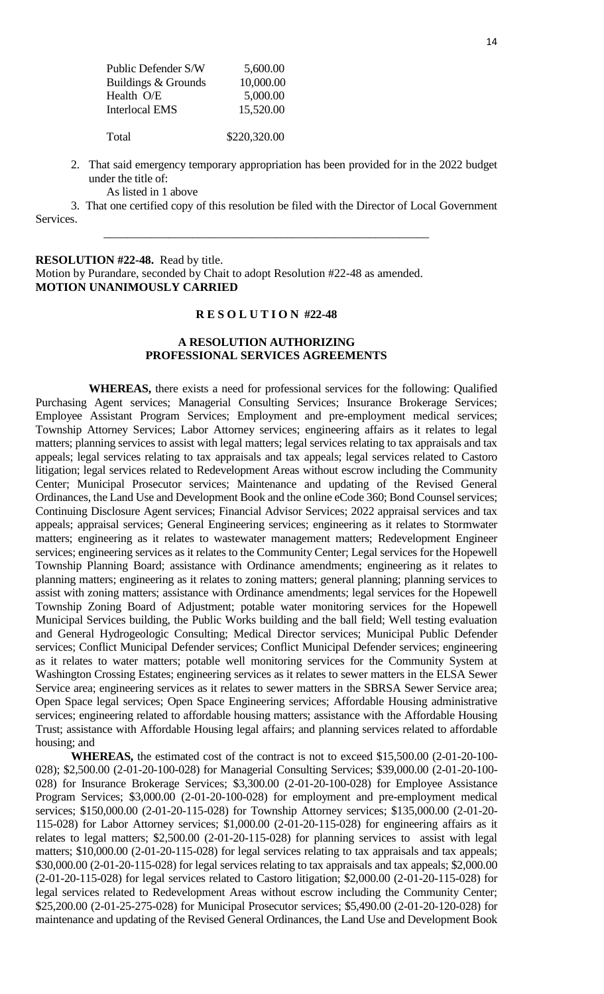| Public Defender S/W   | 5,600.00     |
|-----------------------|--------------|
| Buildings & Grounds   | 10,000.00    |
| Health O/E            | 5,000.00     |
| <b>Interlocal EMS</b> | 15,520.00    |
|                       |              |
| Total                 | \$220,320.00 |

- 2. That said emergency temporary appropriation has been provided for in the 2022 budget under the title of:
	- As listed in 1 above

3. That one certified copy of this resolution be filed with the Director of Local Government Services.

\_\_\_\_\_\_\_\_\_\_\_\_\_\_\_\_\_\_\_\_\_\_\_\_\_\_\_\_\_\_\_\_\_\_\_\_\_\_\_\_\_\_\_\_\_\_\_\_\_\_\_\_\_\_\_

**RESOLUTION #22-48.** Read by title. Motion by Purandare, seconded by Chait to adopt Resolution #22-48 as amended. **MOTION UNANIMOUSLY CARRIED**

#### **R E S O L U T I O N #22-48**

## **A RESOLUTION AUTHORIZING PROFESSIONAL SERVICES AGREEMENTS**

**WHEREAS,** there exists a need for professional services for the following: Qualified Purchasing Agent services; Managerial Consulting Services; Insurance Brokerage Services; Employee Assistant Program Services; Employment and pre-employment medical services; Township Attorney Services; Labor Attorney services; engineering affairs as it relates to legal matters; planning services to assist with legal matters; legal services relating to tax appraisals and tax appeals; legal services relating to tax appraisals and tax appeals; legal services related to Castoro litigation; legal services related to Redevelopment Areas without escrow including the Community Center; Municipal Prosecutor services; Maintenance and updating of the Revised General Ordinances, the Land Use and Development Book and the online eCode 360; Bond Counsel services; Continuing Disclosure Agent services; Financial Advisor Services; 2022 appraisal services and tax appeals; appraisal services; General Engineering services; engineering as it relates to Stormwater matters; engineering as it relates to wastewater management matters; Redevelopment Engineer services; engineering services as it relates to the Community Center; Legal services for the Hopewell Township Planning Board; assistance with Ordinance amendments; engineering as it relates to planning matters; engineering as it relates to zoning matters; general planning; planning services to assist with zoning matters; assistance with Ordinance amendments; legal services for the Hopewell Township Zoning Board of Adjustment; potable water monitoring services for the Hopewell Municipal Services building, the Public Works building and the ball field; Well testing evaluation and General Hydrogeologic Consulting; Medical Director services; Municipal Public Defender services; Conflict Municipal Defender services; Conflict Municipal Defender services; engineering as it relates to water matters; potable well monitoring services for the Community System at Washington Crossing Estates; engineering services as it relates to sewer matters in the ELSA Sewer Service area; engineering services as it relates to sewer matters in the SBRSA Sewer Service area; Open Space legal services; Open Space Engineering services; Affordable Housing administrative services; engineering related to affordable housing matters; assistance with the Affordable Housing Trust; assistance with Affordable Housing legal affairs; and planning services related to affordable housing; and

**WHEREAS,** the estimated cost of the contract is not to exceed \$15,500.00 (2-01-20-100- 028); \$2,500.00 (2-01-20-100-028) for Managerial Consulting Services; \$39,000.00 (2-01-20-100- 028) for Insurance Brokerage Services; \$3,300.00 (2-01-20-100-028) for Employee Assistance Program Services; \$3,000.00 (2-01-20-100-028) for employment and pre-employment medical services; \$150,000.00 (2-01-20-115-028) for Township Attorney services; \$135,000.00 (2-01-20- 115-028) for Labor Attorney services; \$1,000.00 (2-01-20-115-028) for engineering affairs as it relates to legal matters; \$2,500.00 (2-01-20-115-028) for planning services to assist with legal matters; \$10,000.00 (2-01-20-115-028) for legal services relating to tax appraisals and tax appeals; \$30,000.00 (2-01-20-115-028) for legal services relating to tax appraisals and tax appeals; \$2,000.00 (2-01-20-115-028) for legal services related to Castoro litigation; \$2,000.00 (2-01-20-115-028) for legal services related to Redevelopment Areas without escrow including the Community Center; \$25,200.00 (2-01-25-275-028) for Municipal Prosecutor services; \$5,490.00 (2-01-20-120-028) for maintenance and updating of the Revised General Ordinances, the Land Use and Development Book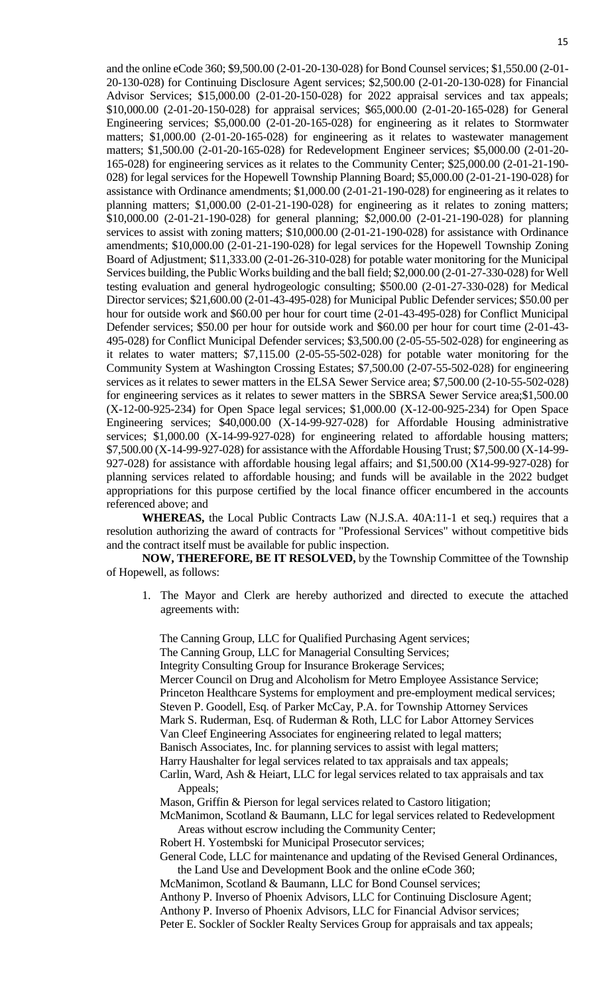and the online eCode 360; \$9,500.00 (2-01-20-130-028) for Bond Counsel services; \$1,550.00 (2-01- 20-130-028) for Continuing Disclosure Agent services; \$2,500.00 (2-01-20-130-028) for Financial Advisor Services; \$15,000.00 (2-01-20-150-028) for 2022 appraisal services and tax appeals; \$10,000.00 (2-01-20-150-028) for appraisal services; \$65,000.00 (2-01-20-165-028) for General Engineering services; \$5,000.00 (2-01-20-165-028) for engineering as it relates to Stormwater matters; \$1,000.00 (2-01-20-165-028) for engineering as it relates to wastewater management matters; \$1,500.00 (2-01-20-165-028) for Redevelopment Engineer services; \$5,000.00 (2-01-20- 165-028) for engineering services as it relates to the Community Center; \$25,000.00 (2-01-21-190- 028) for legal services for the Hopewell Township Planning Board; \$5,000.00 (2-01-21-190-028) for assistance with Ordinance amendments; \$1,000.00 (2-01-21-190-028) for engineering as it relates to planning matters; \$1,000.00 (2-01-21-190-028) for engineering as it relates to zoning matters; \$10,000.00 (2-01-21-190-028) for general planning; \$2,000.00 (2-01-21-190-028) for planning services to assist with zoning matters; \$10,000.00 (2-01-21-190-028) for assistance with Ordinance amendments; \$10,000.00 (2-01-21-190-028) for legal services for the Hopewell Township Zoning Board of Adjustment; \$11,333.00 (2-01-26-310-028) for potable water monitoring for the Municipal Services building, the Public Works building and the ball field; \$2,000.00 (2-01-27-330-028) for Well testing evaluation and general hydrogeologic consulting; \$500.00 (2-01-27-330-028) for Medical Director services; \$21,600.00 (2-01-43-495-028) for Municipal Public Defender services; \$50.00 per hour for outside work and \$60.00 per hour for court time  $(2-01-43-495-028)$  for Conflict Municipal Defender services; \$50.00 per hour for outside work and \$60.00 per hour for court time (2-01-43- 495-028) for Conflict Municipal Defender services; \$3,500.00 (2-05-55-502-028) for engineering as it relates to water matters; \$7,115.00 (2-05-55-502-028) for potable water monitoring for the Community System at Washington Crossing Estates; \$7,500.00 (2-07-55-502-028) for engineering services as it relates to sewer matters in the ELSA Sewer Service area; \$7,500.00 (2-10-55-502-028) for engineering services as it relates to sewer matters in the SBRSA Sewer Service area;\$1,500.00 (X-12-00-925-234) for Open Space legal services; \$1,000.00 (X-12-00-925-234) for Open Space Engineering services; \$40,000.00 (X-14-99-927-028) for Affordable Housing administrative services; \$1,000.00 (X-14-99-927-028) for engineering related to affordable housing matters; \$7,500.00 (X-14-99-927-028) for assistance with the Affordable Housing Trust; \$7,500.00 (X-14-99- 927-028) for assistance with affordable housing legal affairs; and \$1,500.00 (X14-99-927-028) for planning services related to affordable housing; and funds will be available in the 2022 budget appropriations for this purpose certified by the local finance officer encumbered in the accounts referenced above; and

**WHEREAS,** the Local Public Contracts Law (N.J.S.A. 40A:11-1 et seq.) requires that a resolution authorizing the award of contracts for "Professional Services" without competitive bids and the contract itself must be available for public inspection.

**NOW, THEREFORE, BE IT RESOLVED,** by the Township Committee of the Township of Hopewell, as follows:

1. The Mayor and Clerk are hereby authorized and directed to execute the attached agreements with:

The Canning Group, LLC for Qualified Purchasing Agent services; The Canning Group, LLC for Managerial Consulting Services; Integrity Consulting Group for Insurance Brokerage Services; Mercer Council on Drug and Alcoholism for Metro Employee Assistance Service; Princeton Healthcare Systems for employment and pre-employment medical services; Steven P. Goodell, Esq. of Parker McCay, P.A. for Township Attorney Services Mark S. Ruderman, Esq. of Ruderman & Roth, LLC for Labor Attorney Services Van Cleef Engineering Associates for engineering related to legal matters; Banisch Associates, Inc. for planning services to assist with legal matters; Harry Haushalter for legal services related to tax appraisals and tax appeals; Carlin, Ward, Ash & Heiart, LLC for legal services related to tax appraisals and tax Appeals; Mason, Griffin & Pierson for legal services related to Castoro litigation; McManimon, Scotland & Baumann, LLC for legal services related to Redevelopment Areas without escrow including the Community Center; Robert H. Yostembski for Municipal Prosecutor services;

General Code, LLC for maintenance and updating of the Revised General Ordinances, the Land Use and Development Book and the online eCode 360;

McManimon, Scotland & Baumann, LLC for Bond Counsel services;

Anthony P. Inverso of Phoenix Advisors, LLC for Continuing Disclosure Agent;

Anthony P. Inverso of Phoenix Advisors, LLC for Financial Advisor services;

Peter E. Sockler of Sockler Realty Services Group for appraisals and tax appeals;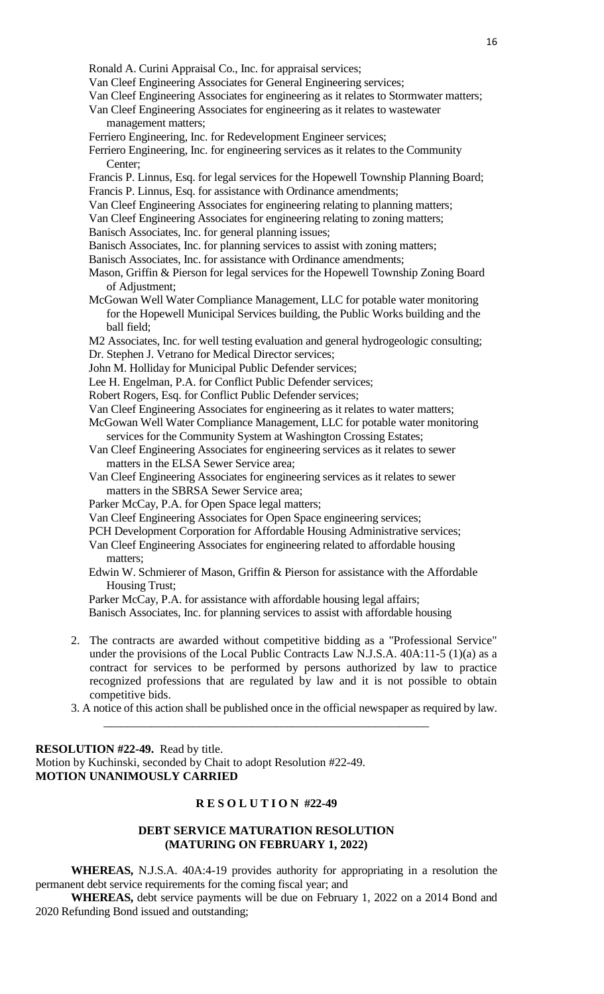- Ronald A. Curini Appraisal Co., Inc. for appraisal services;
- Van Cleef Engineering Associates for General Engineering services;
- Van Cleef Engineering Associates for engineering as it relates to Stormwater matters;
- Van Cleef Engineering Associates for engineering as it relates to wastewater management matters;
- Ferriero Engineering, Inc. for Redevelopment Engineer services;
- Ferriero Engineering, Inc. for engineering services as it relates to the Community Center;
- Francis P. Linnus, Esq. for legal services for the Hopewell Township Planning Board; Francis P. Linnus, Esq. for assistance with Ordinance amendments;
- Van Cleef Engineering Associates for engineering relating to planning matters;
- Van Cleef Engineering Associates for engineering relating to zoning matters;
- Banisch Associates, Inc. for general planning issues;
- Banisch Associates, Inc. for planning services to assist with zoning matters;
- Banisch Associates, Inc. for assistance with Ordinance amendments;
- Mason, Griffin & Pierson for legal services for the Hopewell Township Zoning Board of Adjustment;
- McGowan Well Water Compliance Management, LLC for potable water monitoring for the Hopewell Municipal Services building, the Public Works building and the ball field;

M2 Associates, Inc. for well testing evaluation and general hydrogeologic consulting; Dr. Stephen J. Vetrano for Medical Director services;

- John M. Holliday for Municipal Public Defender services;
- Lee H. Engelman, P.A. for Conflict Public Defender services;
- Robert Rogers, Esq. for Conflict Public Defender services;
- Van Cleef Engineering Associates for engineering as it relates to water matters;
- McGowan Well Water Compliance Management, LLC for potable water monitoring services for the Community System at Washington Crossing Estates;
- Van Cleef Engineering Associates for engineering services as it relates to sewer matters in the ELSA Sewer Service area;
- Van Cleef Engineering Associates for engineering services as it relates to sewer matters in the SBRSA Sewer Service area;
- Parker McCay, P.A. for Open Space legal matters;
- Van Cleef Engineering Associates for Open Space engineering services;
- PCH Development Corporation for Affordable Housing Administrative services;
- Van Cleef Engineering Associates for engineering related to affordable housing matters;
- Edwin W. Schmierer of Mason, Griffin & Pierson for assistance with the Affordable Housing Trust;
- Parker McCay, P.A. for assistance with affordable housing legal affairs;

Banisch Associates, Inc. for planning services to assist with affordable housing

- 2. The contracts are awarded without competitive bidding as a "Professional Service" under the provisions of the Local Public Contracts Law N.J.S.A. 40A:11-5 (1)(a) as a contract for services to be performed by persons authorized by law to practice recognized professions that are regulated by law and it is not possible to obtain competitive bids.
- 3. A notice of this action shall be published once in the official newspaper as required by law.

**RESOLUTION #22-49.** Read by title. Motion by Kuchinski, seconded by Chait to adopt Resolution #22-49. **MOTION UNANIMOUSLY CARRIED**

#### **R E S O L U T I O N #22-49**

\_\_\_\_\_\_\_\_\_\_\_\_\_\_\_\_\_\_\_\_\_\_\_\_\_\_\_\_\_\_\_\_\_\_\_\_\_\_\_\_\_\_\_\_\_\_\_\_\_\_\_\_\_\_\_

#### **DEBT SERVICE MATURATION RESOLUTION (MATURING ON FEBRUARY 1, 2022)**

**WHEREAS,** N.J.S.A. 40A:4-19 provides authority for appropriating in a resolution the permanent debt service requirements for the coming fiscal year; and

**WHEREAS,** debt service payments will be due on February 1, 2022 on a 2014 Bond and 2020 Refunding Bond issued and outstanding;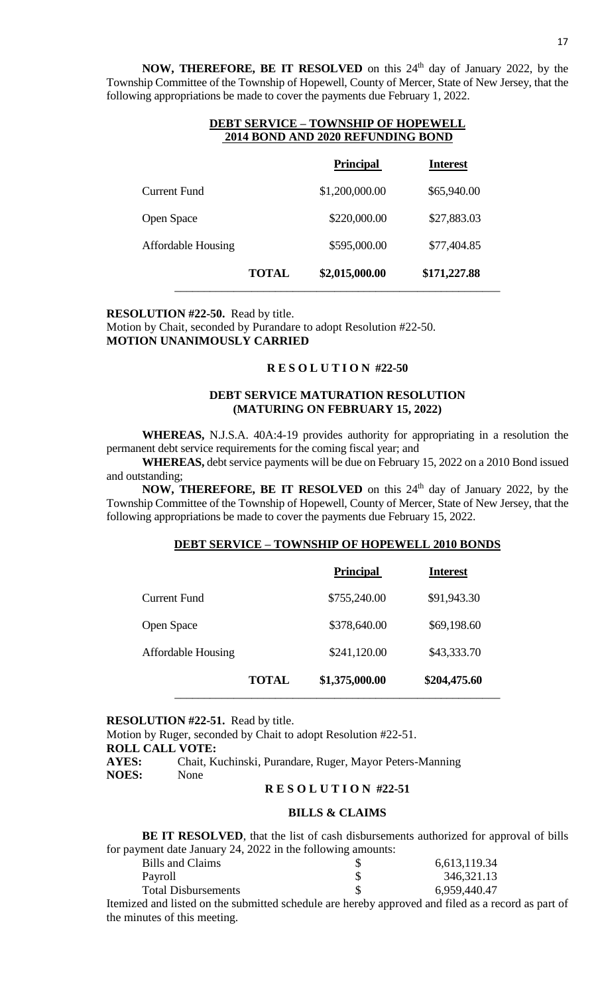**NOW, THEREFORE, BE IT RESOLVED** on this 24<sup>th</sup> day of January 2022, by the Township Committee of the Township of Hopewell, County of Mercer, State of New Jersey, that the following appropriations be made to cover the payments due February 1, 2022.

|                    | 2014 BOND AND 2020 REFUNDING BOND |                  |                 |
|--------------------|-----------------------------------|------------------|-----------------|
|                    |                                   | <b>Principal</b> | <b>Interest</b> |
| Current Fund       |                                   | \$1,200,000.00   | \$65,940.00     |
| Open Space         |                                   | \$220,000.00     | \$27,883.03     |
| Affordable Housing |                                   | \$595,000.00     | \$77,404.85     |
|                    | <b>TOTAL</b>                      | \$2,015,000.00   | \$171,227.88    |

# **DEBT SERVICE – TOWNSHIP OF HOPEWELL**

**RESOLUTION #22-50.** Read by title. Motion by Chait, seconded by Purandare to adopt Resolution #22-50. **MOTION UNANIMOUSLY CARRIED**

#### **R E S O L U T I O N #22-50**

## **DEBT SERVICE MATURATION RESOLUTION (MATURING ON FEBRUARY 15, 2022)**

**WHEREAS,** N.J.S.A. 40A:4-19 provides authority for appropriating in a resolution the permanent debt service requirements for the coming fiscal year; and

**WHEREAS,** debt service payments will be due on February 15, 2022 on a 2010 Bond issued and outstanding;

**NOW, THEREFORE, BE IT RESOLVED** on this 24<sup>th</sup> day of January 2022, by the Township Committee of the Township of Hopewell, County of Mercer, State of New Jersey, that the following appropriations be made to cover the payments due February 15, 2022.

# **DEBT SERVICE – TOWNSHIP OF HOPEWELL 2010 BONDS**

|                           |              | <b>Principal</b> | <b>Interest</b> |
|---------------------------|--------------|------------------|-----------------|
| Current Fund              |              | \$755,240.00     | \$91,943.30     |
| Open Space                |              | \$378,640.00     | \$69,198.60     |
| <b>Affordable Housing</b> |              | \$241,120.00     | \$43,333.70     |
|                           | <b>TOTAL</b> | \$1,375,000.00   | \$204,475.60    |

## **RESOLUTION #22-51.** Read by title.

Motion by Ruger, seconded by Chait to adopt Resolution #22-51. **ROLL CALL VOTE: AYES:** Chait, Kuchinski, Purandare, Ruger, Mayor Peters-Manning **NOES:** None

### **R E S O L U T I O N #22-51**

## **BILLS & CLAIMS**

**BE IT RESOLVED**, that the list of cash disbursements authorized for approval of bills for payment date January 24, 2022 in the following amounts:

| Bills and Claims           |  | 6,613,119.34 |
|----------------------------|--|--------------|
| Payroll                    |  | 346,321.13   |
| <b>Total Disbursements</b> |  | 6,959,440.47 |
|                            |  | - 1 C 1 1    |

Itemized and listed on the submitted schedule are hereby approved and filed as a record as part of the minutes of this meeting.